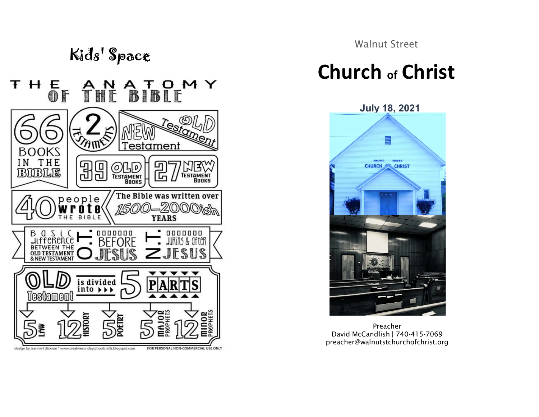| Kids' Space |         |                                        |        |  |  |  |
|-------------|---------|----------------------------------------|--------|--|--|--|
|             | E<br>Of |                                        | ANA TU |  |  |  |
|             |         | $\widehat{\mathbb{S}}$ $(\mathbb{Z}2)$ |        |  |  |  |



Walnut Street

## $Y$  Church of Christ

July 18, 2021



Preacher David McCandlish | 740-415-7069 preacher@walnutstchurchofchrist.org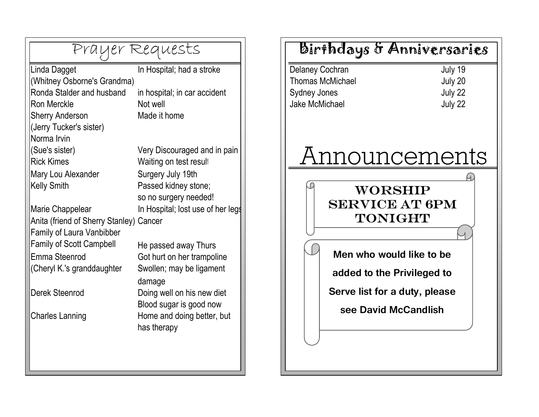| Prayer Requests                         |                                   |  |     |
|-----------------------------------------|-----------------------------------|--|-----|
| Linda Dagget                            | In Hospital; had a stroke         |  | Del |
| (Whitney Osborne's Grandma)             |                                   |  | Tho |
| Ronda Stalder and husband               | in hospital; in car accident      |  | Syd |
| <b>Ron Merckle</b>                      | Not well                          |  | Jak |
| <b>Sherry Anderson</b>                  | Made it home                      |  |     |
| (Jerry Tucker's sister)                 |                                   |  |     |
| Norma Irvin                             |                                   |  |     |
| (Sue's sister)                          | Very Discouraged and in pain      |  |     |
| <b>Rick Kimes</b>                       | Waiting on test result            |  |     |
| Mary Lou Alexander                      | Surgery July 19th                 |  |     |
| <b>Kelly Smith</b>                      | Passed kidney stone;              |  |     |
|                                         | so no surgery needed!             |  |     |
| Marie Chappelear                        | In Hospital; lost use of her legs |  |     |
| Anita (friend of Sherry Stanley) Cancer |                                   |  |     |
| Family of Laura Vanbibber               |                                   |  |     |
| <b>Family of Scott Campbell</b>         | He passed away Thurs              |  |     |
| Emma Steenrod                           | Got hurt on her trampoline        |  |     |
| (Cheryl K.'s granddaughter              | Swollen; may be ligament          |  |     |
|                                         | damage                            |  |     |
| Derek Steenrod                          | Doing well on his new diet        |  |     |
|                                         | Blood sugar is good now           |  |     |
| <b>Charles Lanning</b>                  | Home and doing better, but        |  |     |
|                                         | has therapy                       |  |     |
|                                         |                                   |  |     |
|                                         |                                   |  |     |
|                                         |                                   |  |     |

## Birthdays & Anniversaries

Delaney Cochran July 19 Thomas McMichael July 20 Sydney Jones July 22 Jake McMichael **July 22** 

## Announcements

## **WORSHIP** SERVICE AT 6PM **TONIGHT**

Men who would like to be added to the Privileged to Serve list for a duty, please

see David McCandlish